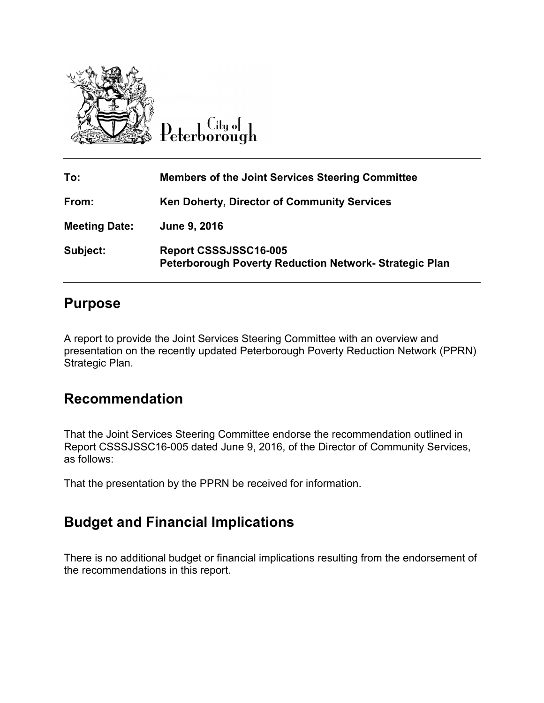

Peterborough

| To:                  | <b>Members of the Joint Services Steering Committee</b>                               |
|----------------------|---------------------------------------------------------------------------------------|
| From:                | Ken Doherty, Director of Community Services                                           |
| <b>Meeting Date:</b> | June 9, 2016                                                                          |
| Subject:             | Report CSSSJSSC16-005<br><b>Peterborough Poverty Reduction Network-Strategic Plan</b> |

## **Purpose**

A report to provide the Joint Services Steering Committee with an overview and presentation on the recently updated Peterborough Poverty Reduction Network (PPRN) Strategic Plan.

## **Recommendation**

That the Joint Services Steering Committee endorse the recommendation outlined in Report CSSSJSSC16-005 dated June 9, 2016, of the Director of Community Services, as follows:

That the presentation by the PPRN be received for information.

## **Budget and Financial Implications**

There is no additional budget or financial implications resulting from the endorsement of the recommendations in this report.